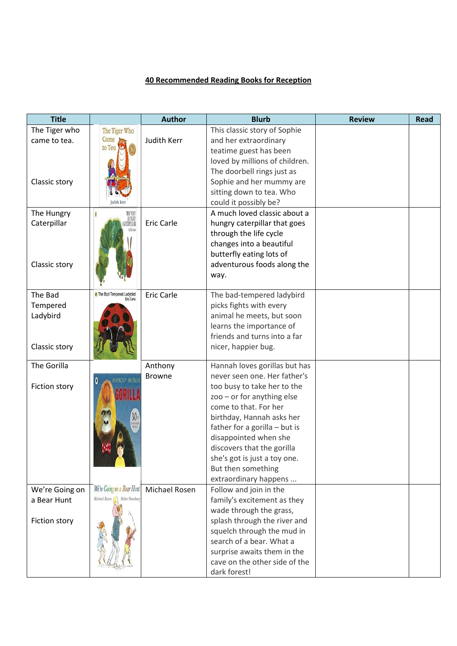## **40 Recommended Reading Books for Reception**

| <b>Title</b>   |                                         | <b>Author</b>     | <b>Blurb</b>                                               | <b>Review</b> | <b>Read</b> |
|----------------|-----------------------------------------|-------------------|------------------------------------------------------------|---------------|-------------|
| The Tiger who  | The Tiger Who                           |                   | This classic story of Sophie                               |               |             |
| came to tea.   | Came<br>to Tea                          | Judith Kerr       | and her extraordinary                                      |               |             |
|                |                                         |                   | teatime guest has been<br>loved by millions of children.   |               |             |
|                |                                         |                   | The doorbell rings just as                                 |               |             |
| Classic story  |                                         |                   | Sophie and her mummy are                                   |               |             |
|                |                                         |                   | sitting down to tea. Who                                   |               |             |
|                |                                         |                   | could it possibly be?                                      |               |             |
| The Hungry     | THE VERI<br>HUNGRY                      |                   | A much loved classic about a                               |               |             |
| Caterpillar    | FRPILLAI                                | <b>Eric Carle</b> | hungry caterpillar that goes                               |               |             |
|                |                                         |                   | through the life cycle                                     |               |             |
|                |                                         |                   | changes into a beautiful<br>butterfly eating lots of       |               |             |
| Classic story  |                                         |                   | adventurous foods along the                                |               |             |
|                |                                         |                   | way.                                                       |               |             |
|                |                                         |                   |                                                            |               |             |
| The Bad        | The Bad-Tempered Ladybird<br>Eric Carle | <b>Eric Carle</b> | The bad-tempered ladybird                                  |               |             |
| Tempered       |                                         |                   | picks fights with every                                    |               |             |
| Ladybird       |                                         |                   | animal he meets, but soon                                  |               |             |
|                |                                         |                   | learns the importance of                                   |               |             |
|                |                                         |                   | friends and turns into a far                               |               |             |
| Classic story  |                                         |                   | nicer, happier bug.                                        |               |             |
| The Gorilla    |                                         | Anthony           | Hannah loves gorillas but has                              |               |             |
|                | NTHONY BROWN                            | <b>Browne</b>     | never seen one. Her father's                               |               |             |
| Fiction story  |                                         |                   | too busy to take her to the                                |               |             |
|                |                                         |                   | $200 - or for anything else$                               |               |             |
|                |                                         |                   | come to that. For her                                      |               |             |
|                |                                         |                   | birthday, Hannah asks her<br>father for a gorilla - but is |               |             |
|                |                                         |                   | disappointed when she                                      |               |             |
|                |                                         |                   | discovers that the gorilla                                 |               |             |
|                |                                         |                   | she's got is just a toy one.                               |               |             |
|                |                                         |                   | But then something                                         |               |             |
|                |                                         |                   | extraordinary happens                                      |               |             |
| We're Going on | We're Going on a Bear Hunt              | Michael Rosen     | Follow and join in the                                     |               |             |
| a Bear Hunt    | Michael Rosen A Helen Oxenbury          |                   | family's excitement as they                                |               |             |
|                |                                         |                   | wade through the grass,                                    |               |             |
| Fiction story  |                                         |                   | splash through the river and<br>squelch through the mud in |               |             |
|                |                                         |                   | search of a bear. What a                                   |               |             |
|                |                                         |                   | surprise awaits them in the                                |               |             |
|                |                                         |                   | cave on the other side of the                              |               |             |
|                |                                         |                   | dark forest!                                               |               |             |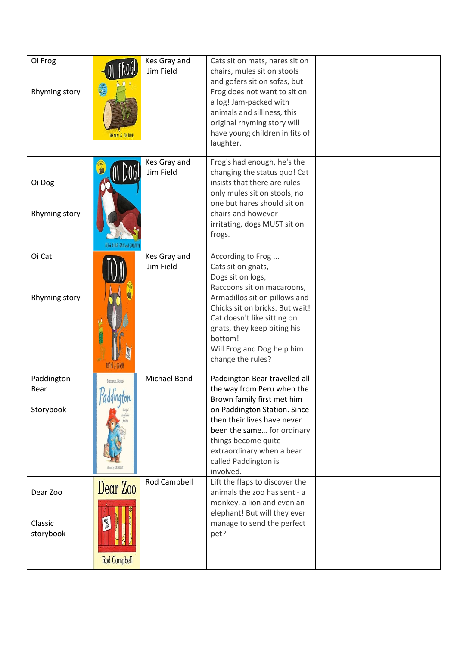| Oi Frog<br>Rhyming story         | 临<br>KIS GANY & JUN FIELD              | Kes Gray and<br>Jim Field | Cats sit on mats, hares sit on<br>chairs, mules sit on stools<br>and gofers sit on sofas, but<br>Frog does not want to sit on<br>a log! Jam-packed with<br>animals and silliness, this<br>original rhyming story will<br>have young children in fits of<br>laughter.                       |  |
|----------------------------------|----------------------------------------|---------------------------|--------------------------------------------------------------------------------------------------------------------------------------------------------------------------------------------------------------------------------------------------------------------------------------------|--|
| Oi Dog<br>Rhyming story          | LAINE GRAY and JUN FILE                | Kes Gray and<br>Jim Field | Frog's had enough, he's the<br>changing the status quo! Cat<br>insists that there are rules -<br>only mules sit on stools, no<br>one but hares should sit on<br>chairs and however<br>irritating, dogs MUST sit on<br>frogs.                                                               |  |
| Oi Cat<br>Rhyming story          |                                        | Kes Gray and<br>Jim Field | According to Frog<br>Cats sit on gnats,<br>Dogs sit on logs,<br>Raccoons sit on macaroons,<br>Armadillos sit on pillows and<br>Chicks sit on bricks. But wait!<br>Cat doesn't like sitting on<br>gnats, they keep biting his<br>bottom!<br>Will Frog and Dog help him<br>change the rules? |  |
| Paddington<br>Bear<br>Storybook  | MICHAEL BOND<br>addington              | Michael Bond              | Paddington Bear travelled all<br>the way from Peru when the<br>Brown family first met him<br>on Paddington Station. Since<br>then their lives have never<br>been the same for ordinary<br>things become quite<br>extraordinary when a bear<br>called Paddington is<br>involved.            |  |
| Dear Zoo<br>Classic<br>storybook | Dear Zoo<br><b>Ban</b><br>Rod Campbell | Rod Campbell              | Lift the flaps to discover the<br>animals the zoo has sent - a<br>monkey, a lion and even an<br>elephant! But will they ever<br>manage to send the perfect<br>pet?                                                                                                                         |  |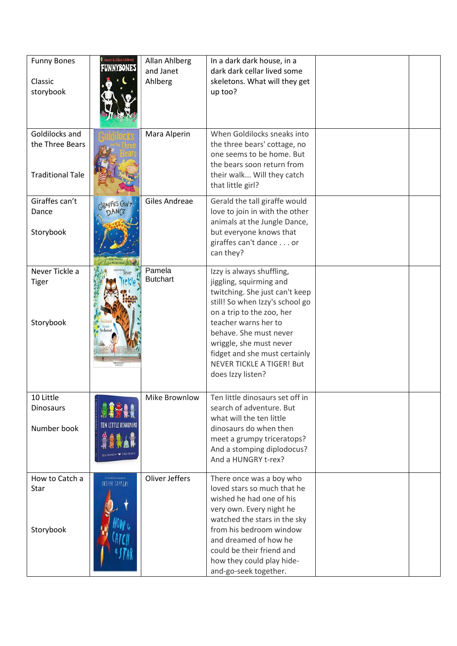| <b>Funny Bones</b><br>Classic<br>storybook                   | <b>Q</b> Janet & Allan Ahlberg<br><b>TUNNYEONES</b> | Allan Ahlberg<br>and Janet<br>Ahlberg | In a dark dark house, in a<br>dark dark cellar lived some<br>skeletons. What will they get<br>up too?                                                                                                                                                                                                                         |  |
|--------------------------------------------------------------|-----------------------------------------------------|---------------------------------------|-------------------------------------------------------------------------------------------------------------------------------------------------------------------------------------------------------------------------------------------------------------------------------------------------------------------------------|--|
| Goldilocks and<br>the Three Bears<br><b>Traditional Tale</b> |                                                     | Mara Alperin                          | When Goldilocks sneaks into<br>the three bears' cottage, no<br>one seems to be home. But<br>the bears soon return from<br>their walk Will they catch<br>that little girl?                                                                                                                                                     |  |
| Giraffes can't<br>Dance<br>Storybook                         | CIRAFFES CAN'T<br>DANCE                             | Giles Andreae                         | Gerald the tall giraffe would<br>love to join in with the other<br>animals at the Jungle Dance,<br>but everyone knows that<br>giraffes can't dance or<br>can they?                                                                                                                                                            |  |
| Never Tickle a<br><b>Tiger</b><br>Storybook                  |                                                     | Pamela<br><b>Butchart</b>             | Izzy is always shuffling,<br>jiggling, squirming and<br>twitching. She just can't keep<br>still! So when Izzy's school go<br>on a trip to the zoo, her<br>teacher warns her to<br>behave. She must never<br>wriggle, she must never<br>fidget and she must certainly<br><b>NEVER TICKLE A TIGER! But</b><br>does Izzy listen? |  |
| 10 Little<br><b>Dinosaurs</b><br>Number book                 |                                                     | Mike Brownlow                         | Ten little dinosaurs set off in<br>search of adventure. But<br>what will the ten little<br>dinosaurs do when then<br>meet a grumpy triceratops?<br>And a stomping diplodocus?<br>And a HUNGRY t-rex?                                                                                                                          |  |
| How to Catch a<br>Star<br>Storybook                          | Instances contains                                  | Oliver Jeffers                        | There once was a boy who<br>loved stars so much that he<br>wished he had one of his<br>very own. Every night he<br>watched the stars in the sky<br>from his bedroom window<br>and dreamed of how he<br>could be their friend and<br>how they could play hide-<br>and-go-seek together.                                        |  |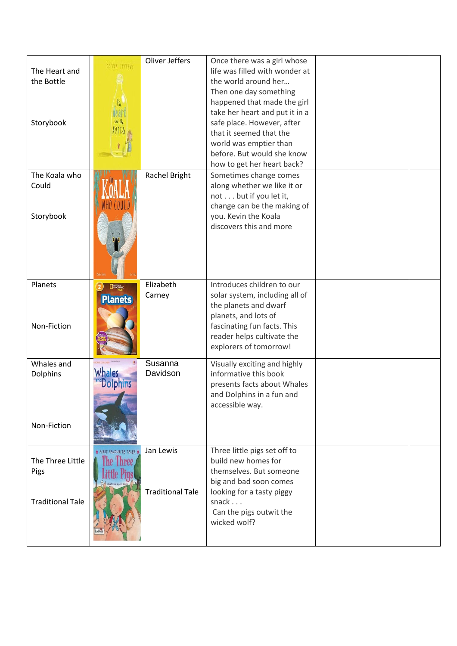|                         |                            | Oliver Jeffers          | Once there was a girl whose                           |  |
|-------------------------|----------------------------|-------------------------|-------------------------------------------------------|--|
| The Heart and           | <b>OLIVER TETTERS</b>      |                         | life was filled with wonder at                        |  |
| the Bottle              |                            |                         | the world around her                                  |  |
|                         |                            |                         | Then one day something                                |  |
|                         |                            |                         | happened that made the girl                           |  |
|                         |                            |                         | take her heart and put it in a                        |  |
| Storybook               |                            |                         | safe place. However, after                            |  |
|                         |                            |                         | that it seemed that the                               |  |
|                         |                            |                         | world was emptier than                                |  |
|                         |                            |                         | before. But would she know                            |  |
|                         |                            |                         | how to get her heart back?                            |  |
| The Koala who           |                            | Rachel Bright           |                                                       |  |
| Could                   |                            |                         | Sometimes change comes<br>along whether we like it or |  |
|                         |                            |                         |                                                       |  |
|                         |                            |                         | not but if you let it,                                |  |
|                         |                            |                         | change can be the making of                           |  |
| Storybook               |                            |                         | you. Kevin the Koala<br>discovers this and more       |  |
|                         |                            |                         |                                                       |  |
|                         |                            |                         |                                                       |  |
|                         |                            |                         |                                                       |  |
|                         |                            |                         |                                                       |  |
|                         |                            |                         |                                                       |  |
| Planets                 | $\mathbf{z})$<br>$\square$ | Elizabeth               | Introduces children to our                            |  |
|                         |                            | Carney                  | solar system, including all of                        |  |
|                         | <b>Planets</b>             |                         | the planets and dwarf                                 |  |
|                         |                            |                         | planets, and lots of                                  |  |
| Non-Fiction             |                            |                         | fascinating fun facts. This                           |  |
|                         |                            |                         | reader helps cultivate the                            |  |
|                         |                            |                         | explorers of tomorrow!                                |  |
|                         |                            |                         |                                                       |  |
| Whales and              |                            | Susanna                 | Visually exciting and highly                          |  |
| Dolphins                | Whales                     | Davidson                | informative this book                                 |  |
|                         |                            |                         | presents facts about Whales                           |  |
|                         |                            |                         | and Dolphins in a fun and                             |  |
|                         |                            |                         | accessible way.                                       |  |
|                         |                            |                         |                                                       |  |
| Non-Fiction             |                            |                         |                                                       |  |
|                         |                            |                         |                                                       |  |
|                         | ★ FIRST FAVOURITE TALES ★  | Jan Lewis               | Three little pigs set off to                          |  |
| The Three Little        | he Three                   |                         | build new homes for                                   |  |
| Pigs                    |                            |                         | themselves. But someone                               |  |
|                         |                            |                         | big and bad soon comes                                |  |
|                         |                            | <b>Traditional Tale</b> | looking for a tasty piggy                             |  |
| <b>Traditional Tale</b> |                            |                         | snack                                                 |  |
|                         |                            |                         | Can the pigs outwit the                               |  |
|                         |                            |                         | wicked wolf?                                          |  |
|                         |                            |                         |                                                       |  |
|                         |                            |                         |                                                       |  |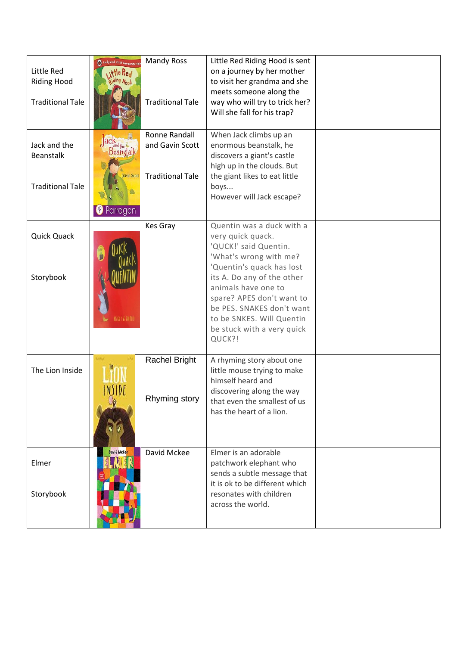|                         | I Ladybird First Favourite Tal | <b>Mandy Ross</b>       | Little Red Riding Hood is sent |  |
|-------------------------|--------------------------------|-------------------------|--------------------------------|--|
| Little Red              | the Real                       |                         | on a journey by her mother     |  |
| <b>Riding Hood</b>      |                                |                         | to visit her grandma and she   |  |
|                         |                                |                         | meets someone along the        |  |
| <b>Traditional Tale</b> |                                | <b>Traditional Tale</b> | way who will try to trick her? |  |
|                         |                                |                         | Will she fall for his trap?    |  |
|                         |                                |                         |                                |  |
|                         |                                | <b>Ronne Randall</b>    | When Jack climbs up an         |  |
| Jack and the            | lack                           | and Gavin Scott         | enormous beanstalk, he         |  |
| <b>Beanstalk</b>        | Beanstalk                      |                         | discovers a giant's castle     |  |
|                         |                                |                         |                                |  |
|                         | Gavin Scott                    |                         | high up in the clouds. But     |  |
|                         |                                | <b>Traditional Tale</b> | the giant likes to eat little  |  |
| <b>Traditional Tale</b> |                                |                         | boys                           |  |
|                         |                                |                         | However will Jack escape?      |  |
|                         | Parragon                       |                         |                                |  |
|                         |                                | <b>Kes Gray</b>         | Quentin was a duck with a      |  |
| <b>Quick Quack</b>      |                                |                         | very quick quack.              |  |
|                         |                                |                         | 'QUCK!' said Quentin.          |  |
|                         |                                |                         | 'What's wrong with me?         |  |
|                         |                                |                         | 'Quentin's quack has lost      |  |
| Storybook               |                                |                         | its A. Do any of the other     |  |
|                         |                                |                         | animals have one to            |  |
|                         |                                |                         | spare? APES don't want to      |  |
|                         |                                |                         | be PES. SNAKES don't want      |  |
|                         | AS GET & THERED                |                         | to be SNKES. Will Quentin      |  |
|                         |                                |                         | be stuck with a very quick     |  |
|                         |                                |                         | QUCK?!                         |  |
|                         |                                |                         |                                |  |
|                         | ۋەل ئىل                        | <b>Rachel Bright</b>    | A rhyming story about one      |  |
| The Lion Inside         |                                |                         | little mouse trying to make    |  |
|                         |                                |                         | himself heard and              |  |
|                         |                                |                         | discovering along the way      |  |
|                         |                                | Rhyming story           | that even the smallest of us   |  |
|                         |                                |                         | has the heart of a lion.       |  |
|                         |                                |                         |                                |  |
|                         |                                |                         |                                |  |
|                         |                                |                         |                                |  |
|                         | David McKee                    | David Mckee             | Elmer is an adorable           |  |
| Elmer                   |                                |                         | patchwork elephant who         |  |
|                         |                                |                         | sends a subtle message that    |  |
|                         |                                |                         | it is ok to be different which |  |
| Storybook               |                                |                         | resonates with children        |  |
|                         |                                |                         | across the world.              |  |
|                         |                                |                         |                                |  |
|                         |                                |                         |                                |  |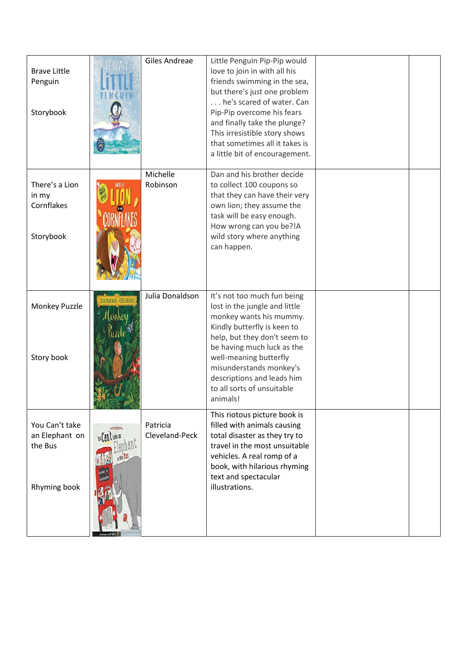| <b>Brave Little</b><br>Penguin<br>Storybook                 |                  | Giles Andreae              | Little Penguin Pip-Pip would<br>love to join in with all his<br>friends swimming in the sea,<br>but there's just one problem<br>he's scared of water. Can<br>Pip-Pip overcome his fears<br>and finally take the plunge?<br>This irresistible story shows<br>that sometimes all it takes is<br>a little bit of encouragement. |  |
|-------------------------------------------------------------|------------------|----------------------------|------------------------------------------------------------------------------------------------------------------------------------------------------------------------------------------------------------------------------------------------------------------------------------------------------------------------------|--|
| There's a Lion<br>in my<br>Cornflakes<br>Storybook          |                  | Michelle<br>Robinson       | Dan and his brother decide<br>to collect 100 coupons so<br>that they can have their very<br>own lion; they assume the<br>task will be easy enough.<br>How wrong can you be?!A<br>wild story where anything<br>can happen.                                                                                                    |  |
| Monkey Puzzle<br>Story book                                 |                  | Julia Donaldson            | It's not too much fun being<br>lost in the jungle and little<br>monkey wants his mummy.<br>Kindly butterfly is keen to<br>help, but they don't seem to<br>be having much luck as the<br>well-meaning butterfly<br>misunderstands monkey's<br>descriptions and leads him<br>to all sorts of unsuitable<br>animals!            |  |
| You Can't take<br>an Elephant on<br>the Bus<br>Rhyming book | You Can trake an | Patricia<br>Cleveland-Peck | This riotous picture book is<br>filled with animals causing<br>total disaster as they try to<br>travel in the most unsuitable<br>vehicles. A real romp of a<br>book, with hilarious rhyming<br>text and spectacular<br>illustrations.                                                                                        |  |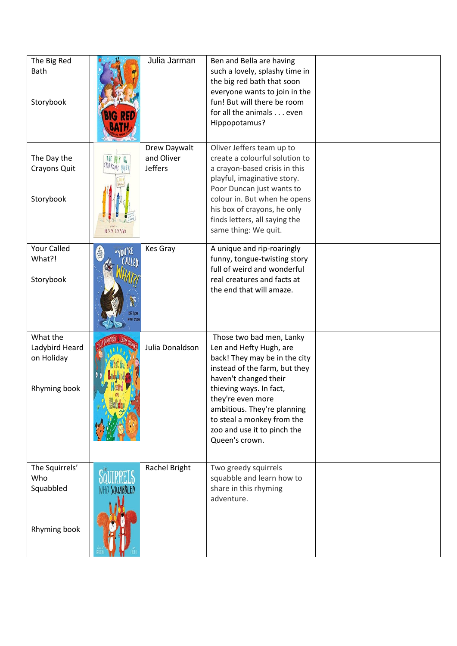| The Big Red<br>Bath<br>Storybook                         |                           | Julia Jarman                                 | Ben and Bella are having<br>such a lovely, splashy time in<br>the big red bath that soon<br>everyone wants to join in the<br>fun! But will there be room<br>for all the animals even<br>Hippopotamus?                                                                                                        |  |
|----------------------------------------------------------|---------------------------|----------------------------------------------|--------------------------------------------------------------------------------------------------------------------------------------------------------------------------------------------------------------------------------------------------------------------------------------------------------------|--|
| The Day the<br>Crayons Quit<br>Storybook                 | OLIVER TEFFERS            | Drew Daywalt<br>and Oliver<br><b>Jeffers</b> | Oliver Jeffers team up to<br>create a colourful solution to<br>a crayon-based crisis in this<br>playful, imaginative story.<br>Poor Duncan just wants to<br>colour in. But when he opens<br>his box of crayons, he only<br>finds letters, all saying the<br>same thing: We quit.                             |  |
| Your Called<br>What?!<br>Storybook                       | <b>MAN</b><br><b>CALL</b> | Kes Gray                                     | A unique and rip-roaringly<br>funny, tongue-twisting story<br>full of weird and wonderful<br>real creatures and facts at<br>the end that will amaze.                                                                                                                                                         |  |
| What the<br>Ladybird Heard<br>on Holiday<br>Rhyming book |                           | Julia Donaldson                              | Those two bad men, Lanky<br>Len and Hefty Hugh, are<br>back! They may be in the city<br>instead of the farm, but they<br>haven't changed their<br>thieving ways. In fact,<br>they're even more<br>ambitious. They're planning<br>to steal a monkey from the<br>zoo and use it to pinch the<br>Queen's crown. |  |
| The Squirrels'<br>Who<br>Squabbled<br>Rhyming book       | <b>SQUABBLED</b>          | Rachel Bright                                | Two greedy squirrels<br>squabble and learn how to<br>share in this rhyming<br>adventure.                                                                                                                                                                                                                     |  |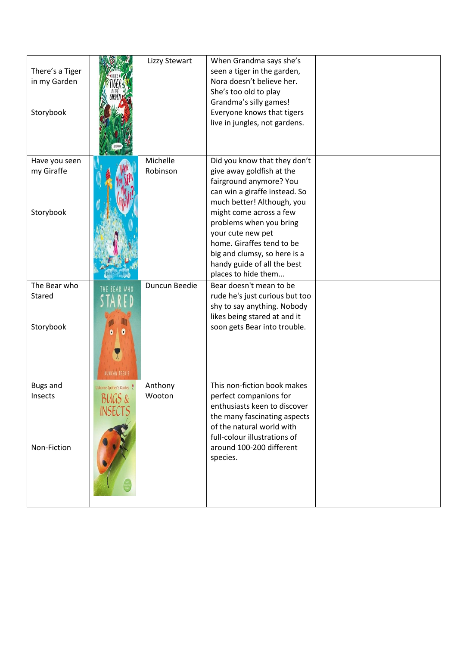| There's a Tiger<br>in my Garden<br>Storybook |                                              | Lizzy Stewart        | When Grandma says she's<br>seen a tiger in the garden,<br>Nora doesn't believe her.<br>She's too old to play<br>Grandma's silly games!<br>Everyone knows that tigers<br>live in jungles, not gardens.                                                                                                                                             |  |
|----------------------------------------------|----------------------------------------------|----------------------|---------------------------------------------------------------------------------------------------------------------------------------------------------------------------------------------------------------------------------------------------------------------------------------------------------------------------------------------------|--|
| Have you seen<br>my Giraffe<br>Storybook     |                                              | Michelle<br>Robinson | Did you know that they don't<br>give away goldfish at the<br>fairground anymore? You<br>can win a giraffe instead. So<br>much better! Although, you<br>might come across a few<br>problems when you bring<br>your cute new pet<br>home. Giraffes tend to be<br>big and clumsy, so here is a<br>handy guide of all the best<br>places to hide them |  |
| The Bear who<br>Stared<br>Storybook          | DUNCAN BEEDIE                                | Duncun Beedie        | Bear doesn't mean to be<br>rude he's just curious but too<br>shy to say anything. Nobody<br>likes being stared at and it<br>soon gets Bear into trouble.                                                                                                                                                                                          |  |
| <b>Bugs and</b><br>Insects<br>Non-Fiction    | Usborne Spotter's Guides<br>BUGS &<br>INSECT | Anthony<br>Wooton    | This non-fiction book makes<br>perfect companions for<br>enthusiasts keen to discover<br>the many fascinating aspects<br>of the natural world with<br>full-colour illustrations of<br>around 100-200 different<br>species.                                                                                                                        |  |